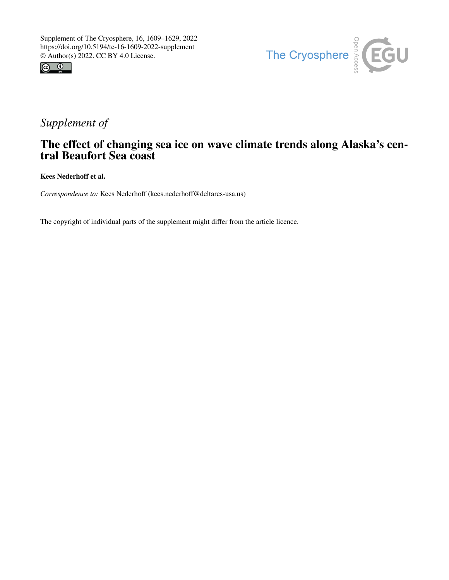



# *Supplement of*

## The effect of changing sea ice on wave climate trends along Alaska's central Beaufort Sea coast

Kees Nederhoff et al.

*Correspondence to:* Kees Nederhoff (kees.nederhoff@deltares-usa.us)

The copyright of individual parts of the supplement might differ from the article licence.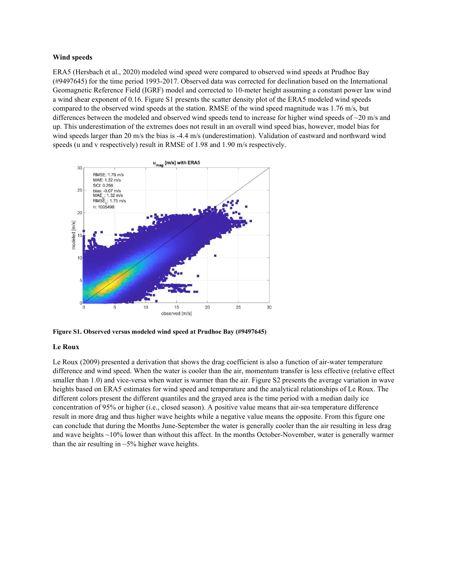#### Wind speeds

ERA5 (Hersbach et al., 2020) modeled wind speed were compared to observed wind speeds at Prudhoe Bay (#9497645) for the time period 1993-2017. Observed data was corrected for declination based on the International Geomagnetic Reference Field (IGRF) model and corrected to 10-meter height assuming a constant power law wind a wind shear exponent of 0.16. Figure S1 presents the scatter density plot of the ERA5 modeled wind speeds compared to the observed wind speeds at the station. RMSE of the wind speed magnitude was 1.76 m/s, but differences between the modeled and observed wind speeds tend to increase for higher wind speeds of ~20 m/s and up. This underestimation of the extremes does not result in an overall wind speed bias, however, model bias for wind speeds larger than 20 m/s the bias is -4.4 m/s (underestimation). Validation of eastward and northward wind speeds (u and v respectively) result in RMSE of 1.98 and 1.90 m/s respectively.



Figure S1. Observed versus modeled wind speed at Prudhoe Bay (#9497645)

#### Le Roux

Le Roux (2009) presented a derivation that shows the drag coefficient is also a function of air-water temperature difference and wind speed. When the water is cooler than the air, momentum transfer is less effective (relative effect smaller than 1.0) and vice-versa when water is warmer than the air. Figure S2 presents the average variation in wave heights based on ERA5 estimates for wind speed and temperature and the analytical relationships of Le Roux. The different colors present the different quantiles and the grayed area is the time period with a median daily ice concentration of 95% or higher (i.e., closed season). A positive value means that air-sea temperature difference result in more drag and thus higher wave heights while a negative value means the opposite. From this figure one can conclude that during the Months June-September the water is generally cooler than the air resulting in less drag and wave heights ~10% lower than without this affect. In the months October-November, water is generally warmer than the air resulting in  $\sim$  5% higher wave heights.